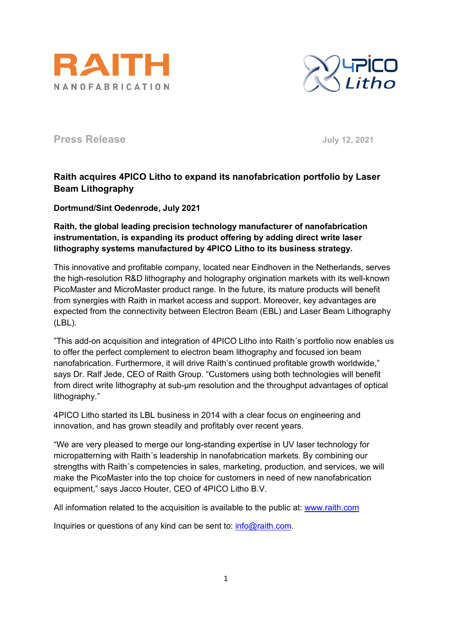



**Press Release July 12, 2021**

## **Raith acquires 4PICO Litho to expand its nanofabrication portfolio by Laser Beam Lithography**

**Dortmund/Sint Oedenrode, July 2021**

**Raith, the global leading precision technology manufacturer of nanofabrication instrumentation, is expanding its product offering by adding direct write laser lithography systems manufactured by 4PICO Litho to its business strategy.** 

This innovative and profitable company, located near Eindhoven in the Netherlands, serves the high-resolution R&D lithography and holography origination markets with its well-known PicoMaster and MicroMaster product range. In the future, its mature products will benefit from synergies with Raith in market access and support. Moreover, key advantages are expected from the connectivity between Electron Beam (EBL) and Laser Beam Lithography (LBL).

"This add-on acquisition and integration of 4PICO Litho into Raith´s portfolio now enables us to offer the perfect complement to electron beam lithography and focused ion beam nanofabrication. Furthermore, it will drive Raith's continued profitable growth worldwide," says Dr. Ralf Jede, CEO of Raith Group. "Customers using both technologies will benefit from direct write lithography at sub-µm resolution and the throughput advantages of optical lithography."

4PICO Litho started its LBL business in 2014 with a clear focus on engineering and innovation, and has grown steadily and profitably over recent years.

"We are very pleased to merge our long-standing expertise in UV laser technology for micropatterning with Raith´s leadership in nanofabrication markets. By combining our strengths with Raith´s competencies in sales, marketing, production, and services, we will make the PicoMaster into the top choice for customers in need of new nanofabrication equipment," says Jacco Houter, CEO of 4PICO Litho B.V.

All information related to the acquisition is available to the public at: [www.raith.com](http://www.raith.com/)

Inquiries or questions of any kind can be sent to: [info@raith.com.](mailto:info@raith.com)